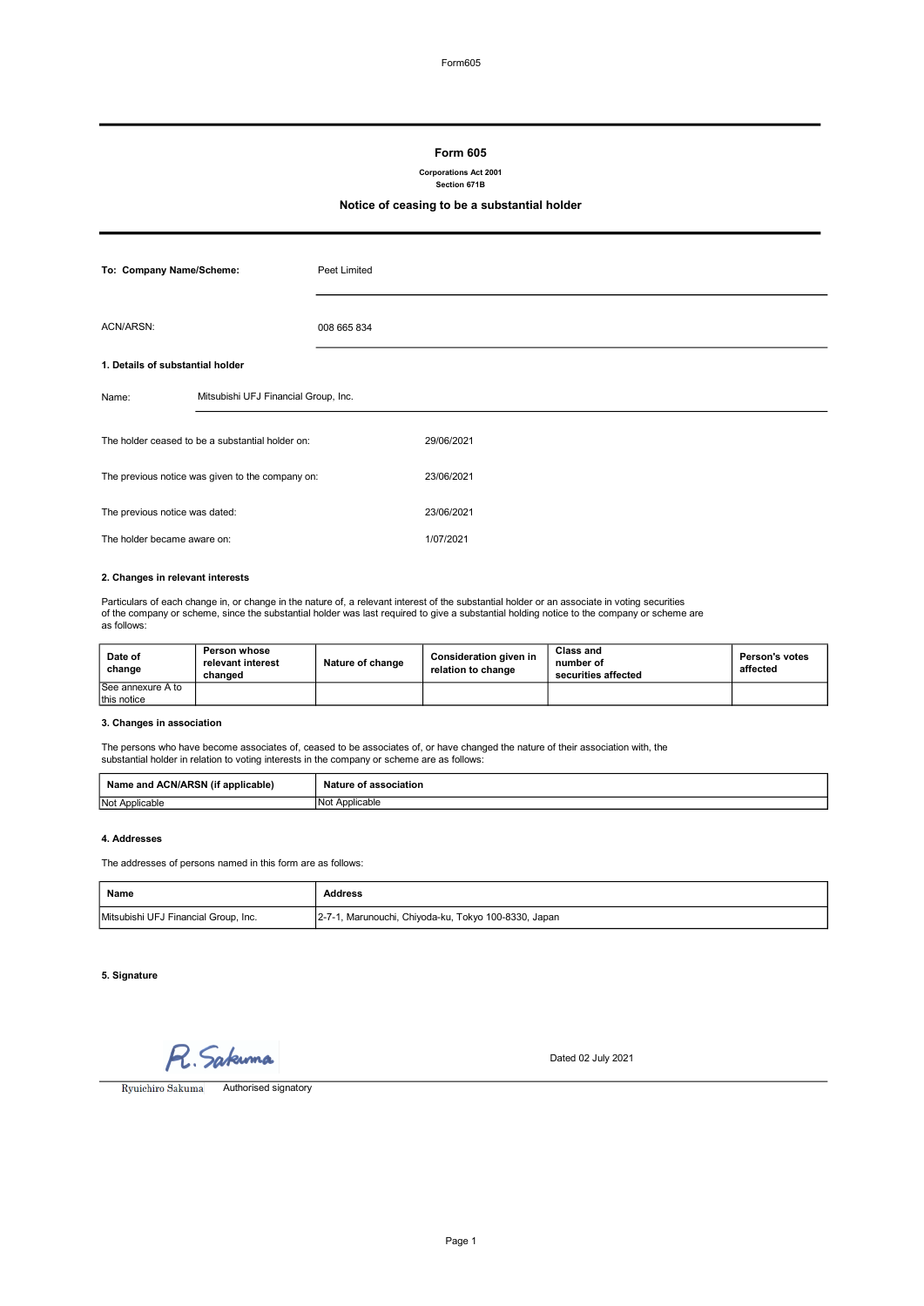### Form 605

Corporations Act 2001

Section 671B

## Notice of ceasing to be a substantial holder

| To: Company Name/Scheme:                         |                                      | Peet Limited |            |
|--------------------------------------------------|--------------------------------------|--------------|------------|
| ACN/ARSN:                                        |                                      | 008 665 834  |            |
| 1. Details of substantial holder                 |                                      |              |            |
| Name:                                            | Mitsubishi UFJ Financial Group, Inc. |              |            |
| The holder ceased to be a substantial holder on: |                                      |              | 29/06/2021 |
| The previous notice was given to the company on: |                                      |              | 23/06/2021 |
| The previous notice was dated:                   |                                      |              | 23/06/2021 |
| The holder became aware on:                      |                                      |              | 1/07/2021  |

## 2. Changes in relevant interests

Particulars of each change in, or change in the nature of, a relevant interest of the substantial holder or an associate in voting securities of the company or scheme, since the substantial holder was last required to give a substantial holding notice to the company or scheme are as follows:

| Date of<br>change | Person whose<br>relevant interest<br>changed | Nature of change | <b>Consideration given in</b><br>relation to change | Class and<br>number of<br>securities affected | Person's votes<br>affected |
|-------------------|----------------------------------------------|------------------|-----------------------------------------------------|-----------------------------------------------|----------------------------|
| See annexure A to |                                              |                  |                                                     |                                               |                            |
| this notice       |                                              |                  |                                                     |                                               |                            |

## 3. Changes in association

The persons who have become associates of, ceased to be associates of, or have changed the nature of their association with, the substantial holder in relation to voting interests in the company or scheme are as follows:

| .<br>Name<br>applicable)<br>^'<br>and<br><b>JN/ARSN</b> | ssociation<br>.<br>__    |
|---------------------------------------------------------|--------------------------|
| Not Applicable                                          | INo<br>Annlicah'<br>uaur |

## 4. Addresses

The addresses of persons named in this form are as follows:

| Name                                 | Address                                              |
|--------------------------------------|------------------------------------------------------|
| Mitsubishi UFJ Financial Group, Inc. | 2-7-1, Marunouchi, Chiyoda-ku, Tokyo 100-8330, Japan |

## 5. Signature

R. Sakuma

Dated 02 July 2021

Ryuichiro Sakuma Authorised signatory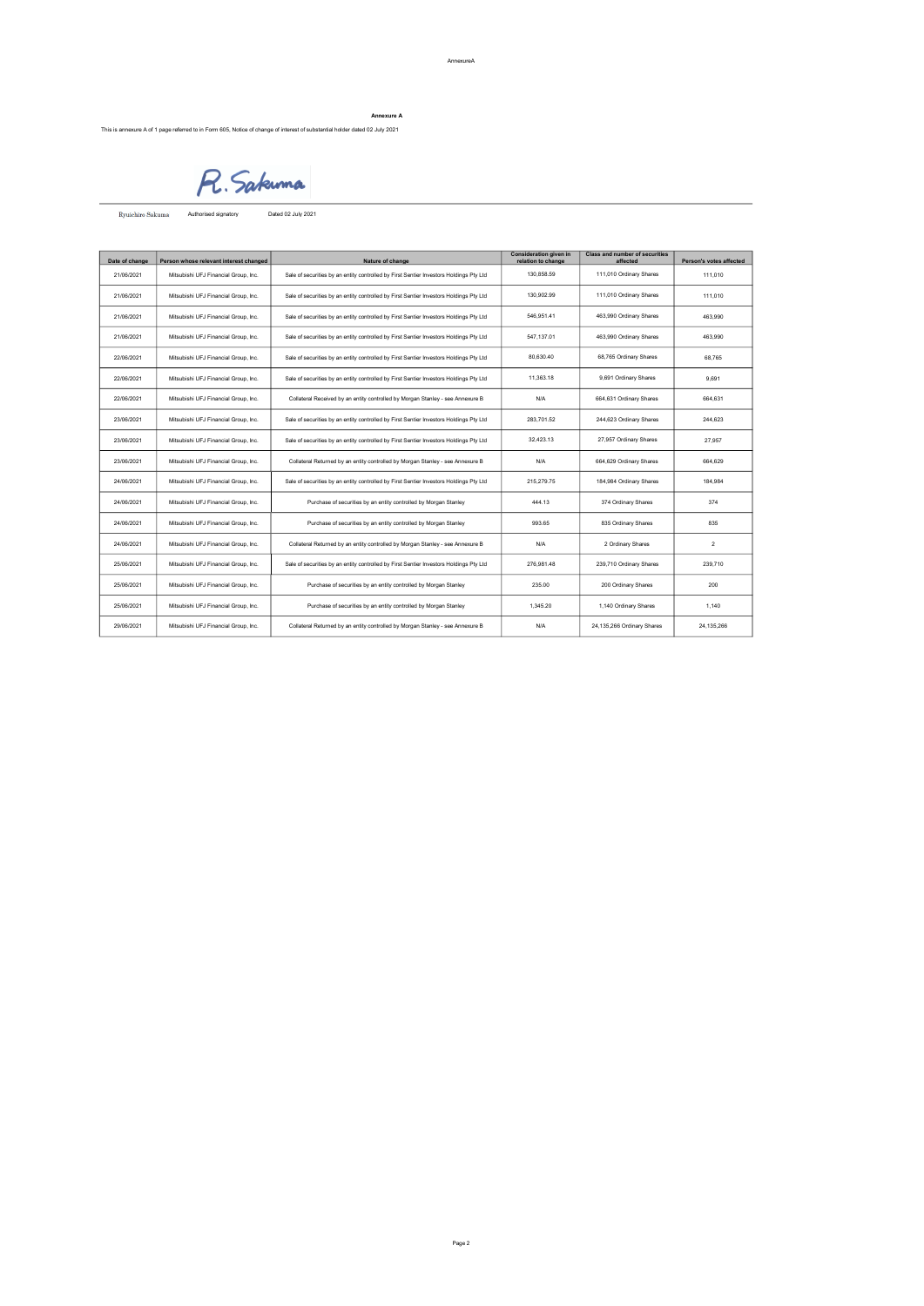# Annexure A

This is annexure A of 1 page referred to in Form 605, Notice of change of interest of substantial holder dated 02 July 2021

R. Sakuma

Authorised signatory Dated 02 July 2021

| Date of change | Person whose relevant interest changed | Nature of change                                                                       | <b>Consideration given in</b><br>relation to change | <b>Class and number of securities</b><br>affected | Person's votes affected |
|----------------|----------------------------------------|----------------------------------------------------------------------------------------|-----------------------------------------------------|---------------------------------------------------|-------------------------|
| 21/06/2021     | Mitsubishi UFJ Financial Group, Inc.   | Sale of securities by an entity controlled by First Sentier Investors Holdings Pty Ltd | 130.858.59                                          | 111.010 Ordinary Shares                           | 111,010                 |
| 21/06/2021     | Mitsubishi UFJ Financial Group, Inc.   | Sale of securities by an entity controlled by First Sentier Investors Holdings Pty Ltd | 130.902.99                                          | 111,010 Ordinary Shares                           | 111.010                 |
| 21/06/2021     | Mitsubishi UFJ Financial Group, Inc.   | Sale of securities by an entity controlled by First Sentier Investors Holdings Pty Ltd | 546.951.41                                          | 463.990 Ordinary Shares                           | 463.990                 |
| 21/06/2021     | Mitsubishi UFJ Financial Group, Inc.   | Sale of securities by an entity controlled by First Sentier Investors Holdings Pty Ltd | 547.137.01                                          | 463,990 Ordinary Shares                           | 463.990                 |
| 22/06/2021     | Mitsubishi UFJ Financial Group, Inc.   | Sale of securities by an entity controlled by First Sentier Investors Holdings Pty Ltd | 80.630.40                                           | 68,765 Ordinary Shares                            | 68.765                  |
| 22/06/2021     | Mitsubishi UFJ Financial Group, Inc.   | Sale of securities by an entity controlled by First Sentier Investors Holdings Pty Ltd | 11.363.18                                           | 9,691 Ordinary Shares                             | 9.691                   |
| 22/06/2021     | Mitsubishi UFJ Financial Group, Inc.   | Collateral Received by an entity controlled by Morgan Stanley - see Annexure B         | N/A                                                 | 664,631 Ordinary Shares                           | 664.631                 |
| 23/06/2021     | Mitsubishi UFJ Financial Group, Inc.   | Sale of securities by an entity controlled by First Sentier Investors Holdings Pty Ltd | 283.701.52                                          | 244,623 Ordinary Shares                           | 244.623                 |
| 23/06/2021     | Mitsubishi UFJ Financial Group, Inc.   | Sale of securities by an entity controlled by First Sentier Investors Holdings Pty Ltd | 32.423.13                                           | 27.957 Ordinary Shares                            | 27,957                  |
| 23/06/2021     | Mitsubishi UFJ Financial Group, Inc.   | Collateral Returned by an entity controlled by Morgan Stanley - see Annexure B         | N/A                                                 | 664,629 Ordinary Shares                           | 664.629                 |
| 24/06/2021     | Mitsubishi UFJ Financial Group, Inc.   | Sale of securities by an entity controlled by First Sentier Investors Holdings Pty Ltd | 215.279.75                                          | 184,984 Ordinary Shares                           | 184.984                 |
| 24/06/2021     | Mitsubishi UFJ Financial Group, Inc.   | Purchase of securities by an entity controlled by Morgan Stanley                       | 444.13                                              | 374 Ordinary Shares                               | 374                     |
| 24/06/2021     | Mitsubishi UFJ Financial Group, Inc.   | Purchase of securities by an entity controlled by Morgan Stanley                       | 993.65                                              | 835 Ordinary Shares                               | 835                     |
| 24/06/2021     | Mitsubishi UFJ Financial Group, Inc.   | Collateral Returned by an entity controlled by Morgan Stanley - see Annexure B         | N/A                                                 | 2 Ordinary Shares                                 | $\overline{2}$          |
| 25/06/2021     | Mitsubishi UFJ Financial Group, Inc.   | Sale of securities by an entity controlled by First Sentier Investors Holdings Pty Ltd | 276.981.48                                          | 239,710 Ordinary Shares                           | 239.710                 |
| 25/06/2021     | Mitsubishi UFJ Financial Group, Inc.   | Purchase of securities by an entity controlled by Morgan Stanley                       | 235.00                                              | 200 Ordinary Shares                               | 200                     |
| 25/06/2021     | Mitsubishi UFJ Financial Group, Inc.   | Purchase of securities by an entity controlled by Morgan Stanley                       | 1.345.20                                            | 1,140 Ordinary Shares                             | 1.140                   |
| 29/06/2021     | Mitsubishi UFJ Financial Group, Inc.   | Collateral Returned by an entity controlled by Morgan Stanley - see Annexure B         | N/A                                                 | 24,135,266 Ordinary Shares                        | 24.135.266              |